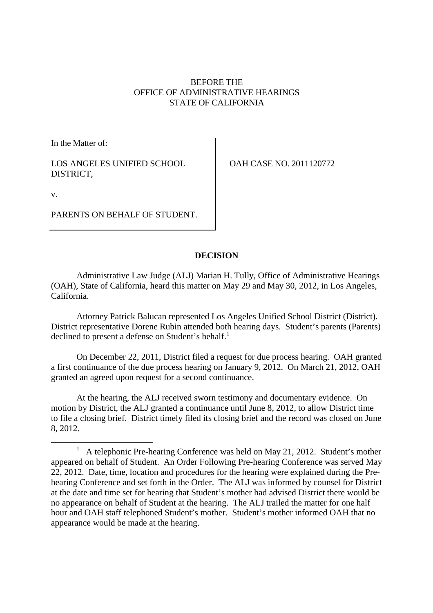## BEFORE THE OFFICE OF ADMINISTRATIVE HEARINGS STATE OF CALIFORNIA

In the Matter of:

LOS ANGELES UNIFIED SCHOOL DISTRICT,

OAH CASE NO. 2011120772

v.

PARENTS ON BEHALF OF STUDENT.

# **DECISION**

Administrative Law Judge (ALJ) Marian H. Tully, Office of Administrative Hearings (OAH), State of California, heard this matter on May 29 and May 30, 2012, in Los Angeles, California.

Attorney Patrick Balucan represented Los Angeles Unified School District (District). District representative Dorene Rubin attended both hearing days. Student's parents (Parents) declined to present a defense on Student's behalf.<sup>1</sup>

On December 22, 2011, District filed a request for due process hearing. OAH granted a first continuance of the due process hearing on January 9, 2012. On March 21, 2012, OAH granted an agreed upon request for a second continuance.

At the hearing, the ALJ received sworn testimony and documentary evidence. On motion by District, the ALJ granted a continuance until June 8, 2012, to allow District time to file a closing brief. District timely filed its closing brief and the record was closed on June 8, 2012.

 $1$  A telephonic Pre-hearing Conference was held on May 21, 2012. Student's mother appeared on behalf of Student. An Order Following Pre-hearing Conference was served May 22, 2012. Date, time, location and procedures for the hearing were explained during the Prehearing Conference and set forth in the Order. The ALJ was informed by counsel for District at the date and time set for hearing that Student's mother had advised District there would be no appearance on behalf of Student at the hearing. The ALJ trailed the matter for one half hour and OAH staff telephoned Student's mother. Student's mother informed OAH that no appearance would be made at the hearing.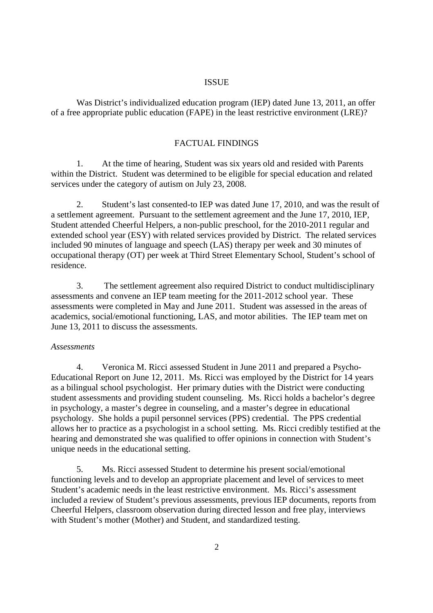#### ISSUE

Was District's individualized education program (IEP) dated June 13, 2011, an offer of a free appropriate public education (FAPE) in the least restrictive environment (LRE)?

#### FACTUAL FINDINGS

1. At the time of hearing, Student was six years old and resided with Parents within the District. Student was determined to be eligible for special education and related services under the category of autism on July 23, 2008.

2. Student's last consented-to IEP was dated June 17, 2010, and was the result of a settlement agreement. Pursuant to the settlement agreement and the June 17, 2010, IEP, Student attended Cheerful Helpers, a non-public preschool, for the 2010-2011 regular and extended school year (ESY) with related services provided by District. The related services included 90 minutes of language and speech (LAS) therapy per week and 30 minutes of occupational therapy (OT) per week at Third Street Elementary School, Student's school of residence.

3. The settlement agreement also required District to conduct multidisciplinary assessments and convene an IEP team meeting for the 2011-2012 school year. These assessments were completed in May and June 2011. Student was assessed in the areas of academics, social/emotional functioning, LAS, and motor abilities. The IEP team met on June 13, 2011 to discuss the assessments.

#### *Assessments*

4. Veronica M. Ricci assessed Student in June 2011 and prepared a Psycho-Educational Report on June 12, 2011. Ms. Ricci was employed by the District for 14 years as a bilingual school psychologist. Her primary duties with the District were conducting student assessments and providing student counseling. Ms. Ricci holds a bachelor's degree in psychology, a master's degree in counseling, and a master's degree in educational psychology. She holds a pupil personnel services (PPS) credential. The PPS credential allows her to practice as a psychologist in a school setting. Ms. Ricci credibly testified at the hearing and demonstrated she was qualified to offer opinions in connection with Student's unique needs in the educational setting.

5. Ms. Ricci assessed Student to determine his present social/emotional functioning levels and to develop an appropriate placement and level of services to meet Student's academic needs in the least restrictive environment. Ms. Ricci's assessment included a review of Student's previous assessments, previous IEP documents, reports from Cheerful Helpers, classroom observation during directed lesson and free play, interviews with Student's mother (Mother) and Student, and standardized testing.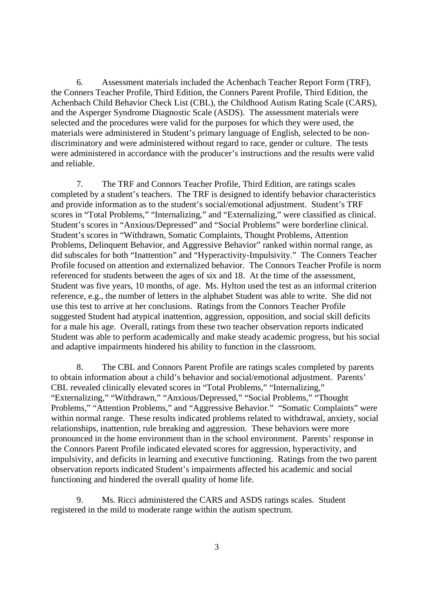6. Assessment materials included the Achenbach Teacher Report Form (TRF), the Conners Teacher Profile, Third Edition, the Conners Parent Profile, Third Edition, the Achenbach Child Behavior Check List (CBL), the Childhood Autism Rating Scale (CARS), and the Asperger Syndrome Diagnostic Scale (ASDS). The assessment materials were selected and the procedures were valid for the purposes for which they were used, the materials were administered in Student's primary language of English, selected to be nondiscriminatory and were administered without regard to race, gender or culture. The tests were administered in accordance with the producer's instructions and the results were valid and reliable.

7. The TRF and Connors Teacher Profile, Third Edition, are ratings scales completed by a student's teachers. The TRF is designed to identify behavior characteristics and provide information as to the student's social/emotional adjustment. Student's TRF scores in "Total Problems," "Internalizing," and "Externalizing," were classified as clinical. Student's scores in "Anxious/Depressed" and "Social Problems" were borderline clinical. Student's scores in "Withdrawn, Somatic Complaints, Thought Problems, Attention Problems, Delinquent Behavior, and Aggressive Behavior" ranked within normal range, as did subscales for both "Inattention" and "Hyperactivity-Impulsivity." The Conners Teacher Profile focused on attention and externalized behavior. The Connors Teacher Profile is norm referenced for students between the ages of six and 18. At the time of the assessment, Student was five years, 10 months, of age. Ms. Hylton used the test as an informal criterion reference, e.g., the number of letters in the alphabet Student was able to write. She did not use this test to arrive at her conclusions. Ratings from the Connors Teacher Profile suggested Student had atypical inattention, aggression, opposition, and social skill deficits for a male his age. Overall, ratings from these two teacher observation reports indicated Student was able to perform academically and make steady academic progress, but his social and adaptive impairments hindered his ability to function in the classroom.

8. The CBL and Connors Parent Profile are ratings scales completed by parents to obtain information about a child's behavior and social/emotional adjustment. Parents' CBL revealed clinically elevated scores in "Total Problems," "Internalizing," "Externalizing," "Withdrawn," "Anxious/Depressed," "Social Problems," "Thought Problems," "Attention Problems," and "Aggressive Behavior." "Somatic Complaints" were within normal range. These results indicated problems related to withdrawal, anxiety, social relationships, inattention, rule breaking and aggression. These behaviors were more pronounced in the home environment than in the school environment. Parents' response in the Connors Parent Profile indicated elevated scores for aggression, hyperactivity, and impulsivity, and deficits in learning and executive functioning. Ratings from the two parent observation reports indicated Student's impairments affected his academic and social functioning and hindered the overall quality of home life.

9. Ms. Ricci administered the CARS and ASDS ratings scales. Student registered in the mild to moderate range within the autism spectrum.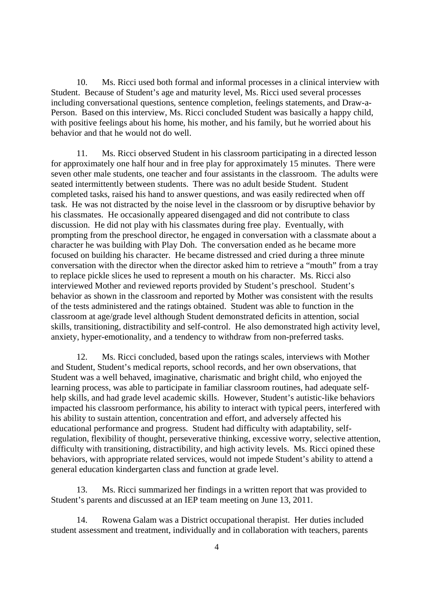10. Ms. Ricci used both formal and informal processes in a clinical interview with Student. Because of Student's age and maturity level, Ms. Ricci used several processes including conversational questions, sentence completion, feelings statements, and Draw-a-Person. Based on this interview, Ms. Ricci concluded Student was basically a happy child, with positive feelings about his home, his mother, and his family, but he worried about his behavior and that he would not do well.

11. Ms. Ricci observed Student in his classroom participating in a directed lesson for approximately one half hour and in free play for approximately 15 minutes. There were seven other male students, one teacher and four assistants in the classroom. The adults were seated intermittently between students. There was no adult beside Student. Student completed tasks, raised his hand to answer questions, and was easily redirected when off task. He was not distracted by the noise level in the classroom or by disruptive behavior by his classmates. He occasionally appeared disengaged and did not contribute to class discussion. He did not play with his classmates during free play. Eventually, with prompting from the preschool director, he engaged in conversation with a classmate about a character he was building with Play Doh. The conversation ended as he became more focused on building his character. He became distressed and cried during a three minute conversation with the director when the director asked him to retrieve a "mouth" from a tray to replace pickle slices he used to represent a mouth on his character. Ms. Ricci also interviewed Mother and reviewed reports provided by Student's preschool. Student's behavior as shown in the classroom and reported by Mother was consistent with the results of the tests administered and the ratings obtained. Student was able to function in the classroom at age/grade level although Student demonstrated deficits in attention, social skills, transitioning, distractibility and self-control. He also demonstrated high activity level, anxiety, hyper-emotionality, and a tendency to withdraw from non-preferred tasks.

12. Ms. Ricci concluded, based upon the ratings scales, interviews with Mother and Student, Student's medical reports, school records, and her own observations, that Student was a well behaved, imaginative, charismatic and bright child, who enjoyed the learning process, was able to participate in familiar classroom routines, had adequate selfhelp skills, and had grade level academic skills. However, Student's autistic-like behaviors impacted his classroom performance, his ability to interact with typical peers, interfered with his ability to sustain attention, concentration and effort, and adversely affected his educational performance and progress. Student had difficulty with adaptability, selfregulation, flexibility of thought, perseverative thinking, excessive worry, selective attention, difficulty with transitioning, distractibility, and high activity levels. Ms. Ricci opined these behaviors, with appropriate related services, would not impede Student's ability to attend a general education kindergarten class and function at grade level.

13. Ms. Ricci summarized her findings in a written report that was provided to Student's parents and discussed at an IEP team meeting on June 13, 2011.

14. Rowena Galam was a District occupational therapist. Her duties included student assessment and treatment, individually and in collaboration with teachers, parents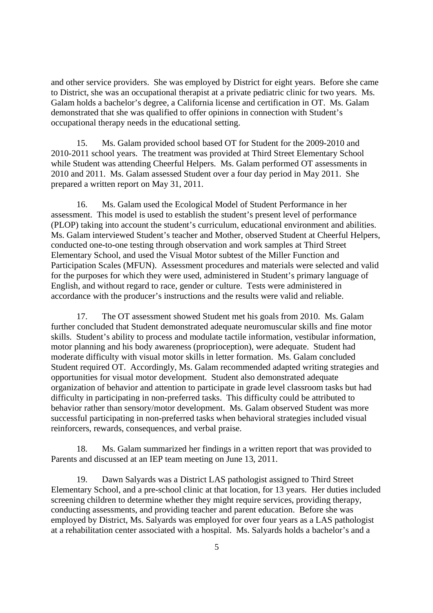and other service providers. She was employed by District for eight years. Before she came to District, she was an occupational therapist at a private pediatric clinic for two years. Ms. Galam holds a bachelor's degree, a California license and certification in OT. Ms. Galam demonstrated that she was qualified to offer opinions in connection with Student's occupational therapy needs in the educational setting.

15. Ms. Galam provided school based OT for Student for the 2009-2010 and 2010-2011 school years. The treatment was provided at Third Street Elementary School while Student was attending Cheerful Helpers. Ms. Galam performed OT assessments in 2010 and 2011. Ms. Galam assessed Student over a four day period in May 2011. She prepared a written report on May 31, 2011.

16. Ms. Galam used the Ecological Model of Student Performance in her assessment. This model is used to establish the student's present level of performance (PLOP) taking into account the student's curriculum, educational environment and abilities. Ms. Galam interviewed Student's teacher and Mother, observed Student at Cheerful Helpers, conducted one-to-one testing through observation and work samples at Third Street Elementary School, and used the Visual Motor subtest of the Miller Function and Participation Scales (MFUN). Assessment procedures and materials were selected and valid for the purposes for which they were used, administered in Student's primary language of English, and without regard to race, gender or culture. Tests were administered in accordance with the producer's instructions and the results were valid and reliable.

17. The OT assessment showed Student met his goals from 2010. Ms. Galam further concluded that Student demonstrated adequate neuromuscular skills and fine motor skills. Student's ability to process and modulate tactile information, vestibular information, motor planning and his body awareness (proprioception), were adequate. Student had moderate difficulty with visual motor skills in letter formation. Ms. Galam concluded Student required OT. Accordingly, Ms. Galam recommended adapted writing strategies and opportunities for visual motor development. Student also demonstrated adequate organization of behavior and attention to participate in grade level classroom tasks but had difficulty in participating in non-preferred tasks. This difficulty could be attributed to behavior rather than sensory/motor development. Ms. Galam observed Student was more successful participating in non-preferred tasks when behavioral strategies included visual reinforcers, rewards, consequences, and verbal praise.

18. Ms. Galam summarized her findings in a written report that was provided to Parents and discussed at an IEP team meeting on June 13, 2011.

19. Dawn Salyards was a District LAS pathologist assigned to Third Street Elementary School, and a pre-school clinic at that location, for 13 years. Her duties included screening children to determine whether they might require services, providing therapy, conducting assessments, and providing teacher and parent education. Before she was employed by District, Ms. Salyards was employed for over four years as a LAS pathologist at a rehabilitation center associated with a hospital. Ms. Salyards holds a bachelor's and a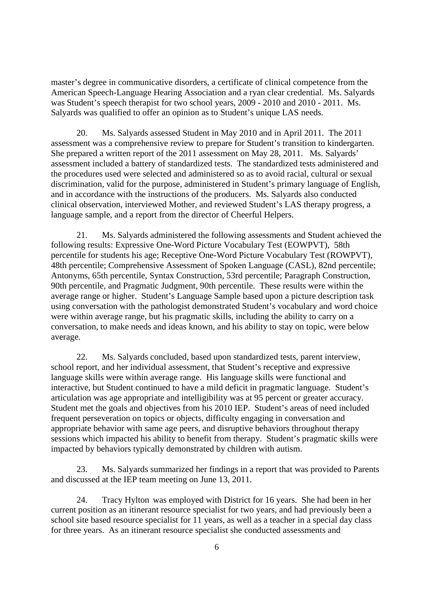master's degree in communicative disorders, a certificate of clinical competence from the American Speech-Language Hearing Association and a ryan clear credential. Ms. Salyards was Student's speech therapist for two school years, 2009 - 2010 and 2010 - 2011. Ms. Salyards was qualified to offer an opinion as to Student's unique LAS needs.

20. Ms. Salyards assessed Student in May 2010 and in April 2011. The 2011 assessment was a comprehensive review to prepare for Student's transition to kindergarten. She prepared a written report of the 2011 assessment on May 28, 2011. Ms. Salyards' assessment included a battery of standardized tests. The standardized tests administered and the procedures used were selected and administered so as to avoid racial, cultural or sexual discrimination, valid for the purpose, administered in Student's primary language of English, and in accordance with the instructions of the producers. Ms. Salyards also conducted clinical observation, interviewed Mother, and reviewed Student's LAS therapy progress, a language sample, and a report from the director of Cheerful Helpers.

21. Ms. Salyards administered the following assessments and Student achieved the following results: Expressive One-Word Picture Vocabulary Test (EOWPVT), 58th percentile for students his age; Receptive One-Word Picture Vocabulary Test (ROWPVT), 48th percentile; Comprehensive Assessment of Spoken Language (CASL), 82nd percentile; Antonyms, 65th percentile, Syntax Construction, 53rd percentile; Paragraph Construction, 90th percentile, and Pragmatic Judgment, 90th percentile. These results were within the average range or higher. Student's Language Sample based upon a picture description task using conversation with the pathologist demonstrated Student's vocabulary and word choice were within average range, but his pragmatic skills, including the ability to carry on a conversation, to make needs and ideas known, and his ability to stay on topic, were below average.

22. Ms. Salyards concluded, based upon standardized tests, parent interview, school report, and her individual assessment, that Student's receptive and expressive language skills were within average range. His language skills were functional and interactive, but Student continued to have a mild deficit in pragmatic language. Student's articulation was age appropriate and intelligibility was at 95 percent or greater accuracy. Student met the goals and objectives from his 2010 IEP. Student's areas of need included frequent perseveration on topics or objects, difficulty engaging in conversation and appropriate behavior with same age peers, and disruptive behaviors throughout therapy sessions which impacted his ability to benefit from therapy. Student's pragmatic skills were impacted by behaviors typically demonstrated by children with autism.

23. Ms. Salyards summarized her findings in a report that was provided to Parents and discussed at the IEP team meeting on June 13, 2011.

24. Tracy Hylton was employed with District for 16 years. She had been in her current position as an itinerant resource specialist for two years, and had previously been a school site based resource specialist for 11 years, as well as a teacher in a special day class for three years. As an itinerant resource specialist she conducted assessments and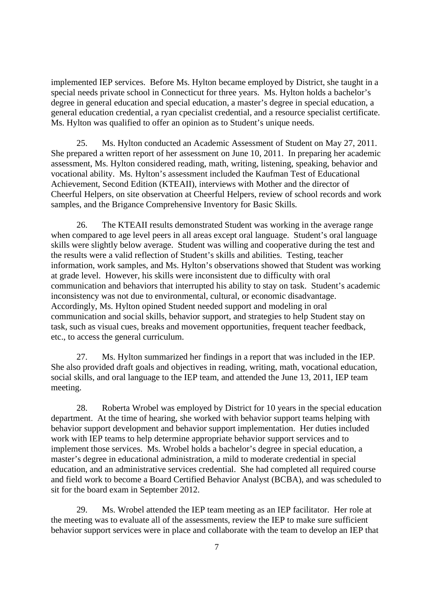implemented IEP services. Before Ms. Hylton became employed by District, she taught in a special needs private school in Connecticut for three years. Ms. Hylton holds a bachelor's degree in general education and special education, a master's degree in special education, a general education credential, a ryan cpecialist credential, and a resource specialist certificate. Ms. Hylton was qualified to offer an opinion as to Student's unique needs.

25. Ms. Hylton conducted an Academic Assessment of Student on May 27, 2011. She prepared a written report of her assessment on June 10, 2011. In preparing her academic assessment, Ms. Hylton considered reading, math, writing, listening, speaking, behavior and vocational ability. Ms. Hylton's assessment included the Kaufman Test of Educational Achievement, Second Edition (KTEAII), interviews with Mother and the director of Cheerful Helpers, on site observation at Cheerful Helpers, review of school records and work samples, and the Brigance Comprehensive Inventory for Basic Skills.

26. The KTEAII results demonstrated Student was working in the average range when compared to age level peers in all areas except oral language. Student's oral language skills were slightly below average. Student was willing and cooperative during the test and the results were a valid reflection of Student's skills and abilities. Testing, teacher information, work samples, and Ms. Hylton's observations showed that Student was working at grade level. However, his skills were inconsistent due to difficulty with oral communication and behaviors that interrupted his ability to stay on task. Student's academic inconsistency was not due to environmental, cultural, or economic disadvantage. Accordingly, Ms. Hylton opined Student needed support and modeling in oral communication and social skills, behavior support, and strategies to help Student stay on task, such as visual cues, breaks and movement opportunities, frequent teacher feedback, etc., to access the general curriculum.

27. Ms. Hylton summarized her findings in a report that was included in the IEP. She also provided draft goals and objectives in reading, writing, math, vocational education, social skills, and oral language to the IEP team, and attended the June 13, 2011, IEP team meeting.

28. Roberta Wrobel was employed by District for 10 years in the special education department. At the time of hearing, she worked with behavior support teams helping with behavior support development and behavior support implementation. Her duties included work with IEP teams to help determine appropriate behavior support services and to implement those services. Ms. Wrobel holds a bachelor's degree in special education, a master's degree in educational administration, a mild to moderate credential in special education, and an administrative services credential. She had completed all required course and field work to become a Board Certified Behavior Analyst (BCBA), and was scheduled to sit for the board exam in September 2012.

29. Ms. Wrobel attended the IEP team meeting as an IEP facilitator. Her role at the meeting was to evaluate all of the assessments, review the IEP to make sure sufficient behavior support services were in place and collaborate with the team to develop an IEP that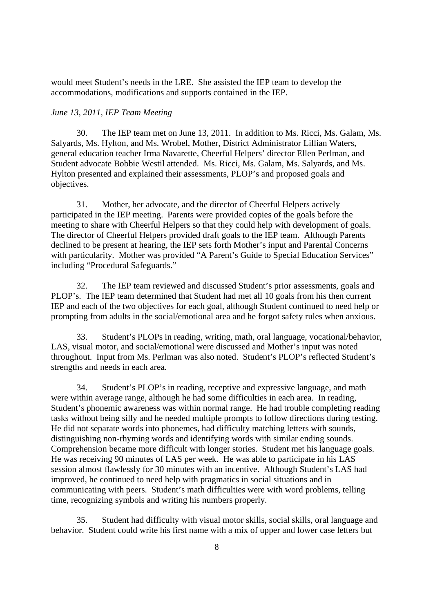would meet Student's needs in the LRE. She assisted the IEP team to develop the accommodations, modifications and supports contained in the IEP.

### *June 13, 2011, IEP Team Meeting*

30. The IEP team met on June 13, 2011. In addition to Ms. Ricci, Ms. Galam, Ms. Salyards, Ms. Hylton, and Ms. Wrobel, Mother, District Administrator Lillian Waters, general education teacher Irma Navarette, Cheerful Helpers' director Ellen Perlman, and Student advocate Bobbie Westil attended. Ms. Ricci, Ms. Galam, Ms. Salyards, and Ms. Hylton presented and explained their assessments, PLOP's and proposed goals and objectives.

31. Mother, her advocate, and the director of Cheerful Helpers actively participated in the IEP meeting. Parents were provided copies of the goals before the meeting to share with Cheerful Helpers so that they could help with development of goals. The director of Cheerful Helpers provided draft goals to the IEP team. Although Parents declined to be present at hearing, the IEP sets forth Mother's input and Parental Concerns with particularity. Mother was provided "A Parent's Guide to Special Education Services" including "Procedural Safeguards."

32. The IEP team reviewed and discussed Student's prior assessments, goals and PLOP's. The IEP team determined that Student had met all 10 goals from his then current IEP and each of the two objectives for each goal, although Student continued to need help or prompting from adults in the social/emotional area and he forgot safety rules when anxious.

33. Student's PLOPs in reading, writing, math, oral language, vocational/behavior, LAS, visual motor, and social/emotional were discussed and Mother's input was noted throughout. Input from Ms. Perlman was also noted. Student's PLOP's reflected Student's strengths and needs in each area.

34. Student's PLOP's in reading, receptive and expressive language, and math were within average range, although he had some difficulties in each area. In reading, Student's phonemic awareness was within normal range. He had trouble completing reading tasks without being silly and he needed multiple prompts to follow directions during testing. He did not separate words into phonemes, had difficulty matching letters with sounds, distinguishing non-rhyming words and identifying words with similar ending sounds. Comprehension became more difficult with longer stories. Student met his language goals. He was receiving 90 minutes of LAS per week. He was able to participate in his LAS session almost flawlessly for 30 minutes with an incentive. Although Student's LAS had improved, he continued to need help with pragmatics in social situations and in communicating with peers. Student's math difficulties were with word problems, telling time, recognizing symbols and writing his numbers properly.

35. Student had difficulty with visual motor skills, social skills, oral language and behavior. Student could write his first name with a mix of upper and lower case letters but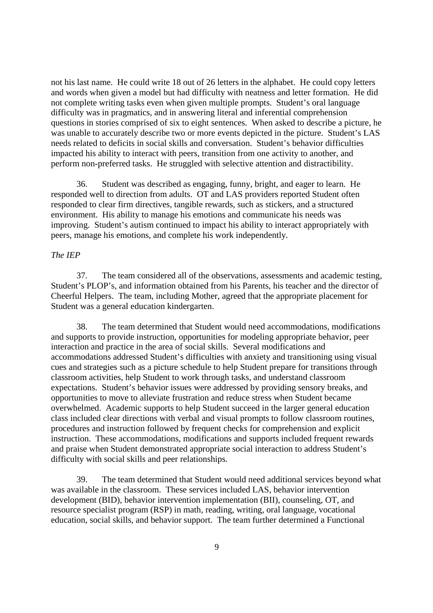not his last name. He could write 18 out of 26 letters in the alphabet. He could copy letters and words when given a model but had difficulty with neatness and letter formation. He did not complete writing tasks even when given multiple prompts. Student's oral language difficulty was in pragmatics, and in answering literal and inferential comprehension questions in stories comprised of six to eight sentences. When asked to describe a picture, he was unable to accurately describe two or more events depicted in the picture. Student's LAS needs related to deficits in social skills and conversation. Student's behavior difficulties impacted his ability to interact with peers, transition from one activity to another, and perform non-preferred tasks. He struggled with selective attention and distractibility.

36. Student was described as engaging, funny, bright, and eager to learn. He responded well to direction from adults. OT and LAS providers reported Student often responded to clear firm directives, tangible rewards, such as stickers, and a structured environment. His ability to manage his emotions and communicate his needs was improving. Student's autism continued to impact his ability to interact appropriately with peers, manage his emotions, and complete his work independently.

## *The IEP*

37. The team considered all of the observations, assessments and academic testing, Student's PLOP's, and information obtained from his Parents, his teacher and the director of Cheerful Helpers. The team, including Mother, agreed that the appropriate placement for Student was a general education kindergarten.

38. The team determined that Student would need accommodations, modifications and supports to provide instruction, opportunities for modeling appropriate behavior, peer interaction and practice in the area of social skills. Several modifications and accommodations addressed Student's difficulties with anxiety and transitioning using visual cues and strategies such as a picture schedule to help Student prepare for transitions through classroom activities, help Student to work through tasks, and understand classroom expectations. Student's behavior issues were addressed by providing sensory breaks, and opportunities to move to alleviate frustration and reduce stress when Student became overwhelmed. Academic supports to help Student succeed in the larger general education class included clear directions with verbal and visual prompts to follow classroom routines, procedures and instruction followed by frequent checks for comprehension and explicit instruction. These accommodations, modifications and supports included frequent rewards and praise when Student demonstrated appropriate social interaction to address Student's difficulty with social skills and peer relationships.

39. The team determined that Student would need additional services beyond what was available in the classroom. These services included LAS, behavior intervention development (BID), behavior intervention implementation (BII), counseling, OT, and resource specialist program (RSP) in math, reading, writing, oral language, vocational education, social skills, and behavior support. The team further determined a Functional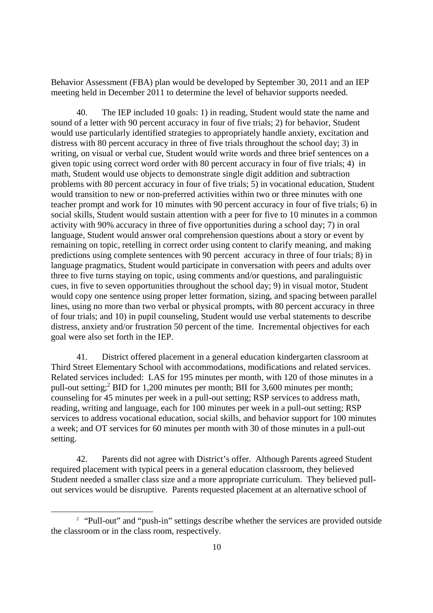Behavior Assessment (FBA) plan would be developed by September 30, 2011 and an IEP meeting held in December 2011 to determine the level of behavior supports needed.

40. The IEP included 10 goals: 1) in reading, Student would state the name and sound of a letter with 90 percent accuracy in four of five trials; 2) for behavior, Student would use particularly identified strategies to appropriately handle anxiety, excitation and distress with 80 percent accuracy in three of five trials throughout the school day; 3) in writing, on visual or verbal cue, Student would write words and three brief sentences on a given topic using correct word order with 80 percent accuracy in four of five trials; 4) in math, Student would use objects to demonstrate single digit addition and subtraction problems with 80 percent accuracy in four of five trials; 5) in vocational education, Student would transition to new or non-preferred activities within two or three minutes with one teacher prompt and work for 10 minutes with 90 percent accuracy in four of five trials; 6) in social skills, Student would sustain attention with a peer for five to 10 minutes in a common activity with 90% accuracy in three of five opportunities during a school day; 7) in oral language, Student would answer oral comprehension questions about a story or event by remaining on topic, retelling in correct order using content to clarify meaning, and making predictions using complete sentences with 90 percent accuracy in three of four trials; 8) in language pragmatics, Student would participate in conversation with peers and adults over three to five turns staying on topic, using comments and/or questions, and paralinguistic cues, in five to seven opportunities throughout the school day; 9) in visual motor, Student would copy one sentence using proper letter formation, sizing, and spacing between parallel lines, using no more than two verbal or physical prompts, with 80 percent accuracy in three of four trials; and 10) in pupil counseling, Student would use verbal statements to describe distress, anxiety and/or frustration 50 percent of the time. Incremental objectives for each goal were also set forth in the IEP.

41. District offered placement in a general education kindergarten classroom at Third Street Elementary School with accommodations, modifications and related services. Related services included: LAS for 195 minutes per month, with 120 of those minutes in a pull-out setting;<sup>2</sup> BID for 1,200 minutes per month; BII for 3,600 minutes per month; counseling for 45 minutes per week in a pull-out setting; RSP services to address math, reading, writing and language, each for 100 minutes per week in a pull-out setting; RSP services to address vocational education, social skills, and behavior support for 100 minutes a week; and OT services for 60 minutes per month with 30 of those minutes in a pull-out setting.

42. Parents did not agree with District's offer. Although Parents agreed Student required placement with typical peers in a general education classroom, they believed Student needed a smaller class size and a more appropriate curriculum. They believed pullout services would be disruptive. Parents requested placement at an alternative school of

<sup>&</sup>lt;sup>2</sup> "Pull-out" and "push-in" settings describe whether the services are provided outside the classroom or in the class room, respectively.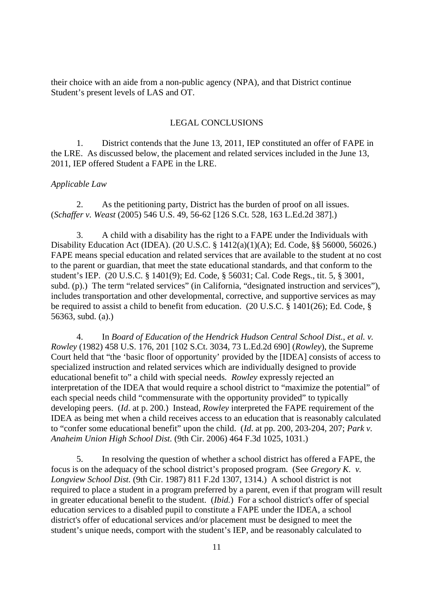their choice with an aide from a non-public agency (NPA), and that District continue Student's present levels of LAS and OT.

#### LEGAL CONCLUSIONS

1. District contends that the June 13, 2011, IEP constituted an offer of FAPE in the LRE. As discussed below, the placement and related services included in the June 13, 2011, IEP offered Student a FAPE in the LRE.

#### *Applicable Law*

2. As the petitioning party, District has the burden of proof on all issues. (*Schaffer v. Weast* (2005) 546 U.S. 49, 56-62 [126 S.Ct. 528, 163 L.Ed.2d 387].)

3. A child with a disability has the right to a FAPE under the Individuals with Disability Education Act (IDEA). (20 U.S.C. § 1412(a)(1)(A); Ed. Code, §§ 56000, 56026.) FAPE means special education and related services that are available to the student at no cost to the parent or guardian, that meet the state educational standards, and that conform to the student's IEP. (20 U.S.C. § 1401(9); Ed. Code, § 56031; Cal. Code Regs., tit. 5, § 3001, subd. (p).) The term "related services" (in California, "designated instruction and services"), includes transportation and other developmental, corrective, and supportive services as may be required to assist a child to benefit from education. (20 U.S.C. § 1401(26); Ed. Code, § 56363, subd. (a).)

4. In *Board of Education of the Hendrick Hudson Central School Dist., et al. v. Rowley* (1982) 458 U.S. 176, 201 [102 S.Ct. 3034, 73 L.Ed.2d 690] (*Rowley*), the Supreme Court held that "the 'basic floor of opportunity' provided by the [IDEA] consists of access to specialized instruction and related services which are individually designed to provide educational benefit to" a child with special needs. *Rowley* expressly rejected an interpretation of the IDEA that would require a school district to "maximize the potential" of each special needs child "commensurate with the opportunity provided" to typically developing peers. (*Id*. at p. 200.) Instead, *Rowley* interpreted the FAPE requirement of the IDEA as being met when a child receives access to an education that is reasonably calculated to "confer some educational benefit" upon the child. (*Id*. at pp. 200, 203-204, 207; *Park v. Anaheim Union High School Dist.* (9th Cir. 2006) 464 F.3d 1025, 1031.)

5. In resolving the question of whether a school district has offered a FAPE, the focus is on the adequacy of the school district's proposed program. (See *Gregory K. v. Longview School Dist.* (9th Cir. 1987) 811 F.2d 1307, 1314.) A school district is not required to place a student in a program preferred by a parent, even if that program will result in greater educational benefit to the student. (*Ibid.*) For a school district's offer of special education services to a disabled pupil to constitute a FAPE under the IDEA, a school district's offer of educational services and/or placement must be designed to meet the student's unique needs, comport with the student's IEP, and be reasonably calculated to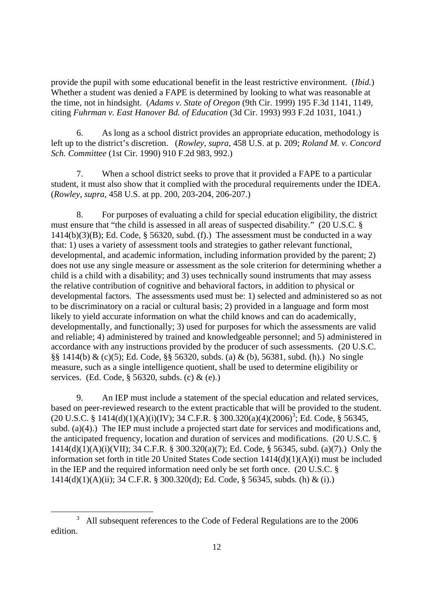provide the pupil with some educational benefit in the least restrictive environment. (*Ibid.*) Whether a student was denied a FAPE is determined by looking to what was reasonable at the time, not in hindsight. (*Adams v. State of Oregon* (9th Cir. 1999) 195 F.3d 1141, 1149, citing *Fuhrman v. East Hanover Bd. of Education* (3d Cir. 1993) 993 F.2d 1031, 1041.)

6. As long as a school district provides an appropriate education, methodology is left up to the district's discretion. (*Rowley*, *supra*, 458 U.S. at p. 209; *Roland M. v. Concord Sch. Committee* (1st Cir. 1990) 910 F.2d 983, 992.)

7. When a school district seeks to prove that it provided a FAPE to a particular student, it must also show that it complied with the procedural requirements under the IDEA. (*Rowley*, *supra*, 458 U.S. at pp. 200, 203-204, 206-207.)

8. For purposes of evaluating a child for special education eligibility, the district must ensure that "the child is assessed in all areas of suspected disability." (20 U.S.C. §  $1414(b)(3)(B)$ ; Ed. Code, § 56320, subd. (f).) The assessment must be conducted in a way that: 1) uses a variety of assessment tools and strategies to gather relevant functional, developmental, and academic information, including information provided by the parent; 2) does not use any single measure or assessment as the sole criterion for determining whether a child is a child with a disability; and 3) uses technically sound instruments that may assess the relative contribution of cognitive and behavioral factors, in addition to physical or developmental factors. The assessments used must be: 1) selected and administered so as not to be discriminatory on a racial or cultural basis; 2) provided in a language and form most likely to yield accurate information on what the child knows and can do academically, developmentally, and functionally; 3) used for purposes for which the assessments are valid and reliable; 4) administered by trained and knowledgeable personnel; and 5) administered in accordance with any instructions provided by the producer of such assessments. (20 U.S.C. §§ 1414(b) & (c)(5); Ed. Code, §§ 56320, subds. (a) & (b), 56381, subd. (h).) No single measure, such as a single intelligence quotient, shall be used to determine eligibility or services. (Ed. Code, § 56320, subds. (c) & (e).)

9. An IEP must include a statement of the special education and related services, based on peer-reviewed research to the extent practicable that will be provided to the student.  $(20 \text{ U.S. C. }$ § 1414(d)(1)(A)(i)(IV); 34 C.F.R. § 300.320(a)(4)(2006)<sup>3</sup>; Ed. Code, § 56345, subd. (a)(4).) The IEP must include a projected start date for services and modifications and, the anticipated frequency, location and duration of services and modifications. (20 U.S.C. § 1414(d)(1)(A)(i)(VII); 34 C.F.R. § 300.320(a)(7); Ed. Code, § 56345, subd. (a)(7).) Only the information set forth in title 20 United States Code section 1414(d)(1)(A)(i) must be included in the IEP and the required information need only be set forth once. (20 U.S.C. § 1414(d)(1)(A)(ii); 34 C.F.R. § 300.320(d); Ed. Code, § 56345, subds. (h) & (i).)

<sup>&</sup>lt;sup>3</sup> All subsequent references to the Code of Federal Regulations are to the 2006 edition.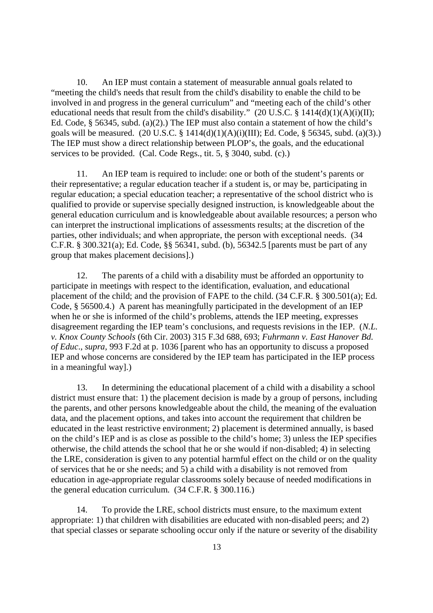10. An IEP must contain a statement of measurable annual goals related to "meeting the child's needs that result from the child's disability to enable the child to be involved in and progress in the general curriculum" and "meeting each of the child's other educational needs that result from the child's disability."  $(20 \text{ U.S.C.} \$ 1414(d)(1)(A)(i)(II));$ Ed. Code, § 56345, subd. (a)(2).) The IEP must also contain a statement of how the child's goals will be measured. (20 U.S.C. § 1414(d)(1)(A)(i)(III); Ed. Code, § 56345, subd. (a)(3).) The IEP must show a direct relationship between PLOP's, the goals, and the educational services to be provided. (Cal. Code Regs., tit. 5, § 3040, subd. (c).)

11. An IEP team is required to include: one or both of the student's parents or their representative; a regular education teacher if a student is, or may be, participating in regular education; a special education teacher; a representative of the school district who is qualified to provide or supervise specially designed instruction, is knowledgeable about the general education curriculum and is knowledgeable about available resources; a person who can interpret the instructional implications of assessments results; at the discretion of the parties, other individuals; and when appropriate, the person with exceptional needs. (34 C.F.R. § 300.321(a); Ed. Code, §§ 56341, subd. (b), 56342.5 [parents must be part of any group that makes placement decisions].)

12. The parents of a child with a disability must be afforded an opportunity to participate in meetings with respect to the identification, evaluation, and educational placement of the child; and the provision of FAPE to the child. (34 C.F.R. § 300.501(a); Ed. Code, § 56500.4.) A parent has meaningfully participated in the development of an IEP when he or she is informed of the child's problems, attends the IEP meeting, expresses disagreement regarding the IEP team's conclusions, and requests revisions in the IEP. (*N.L. v. Knox County Schools* (6th Cir. 2003) 315 F.3d 688, 693; *Fuhrmann v. East Hanover Bd. of Educ*.*, supra,* 993 F.2d at p. 1036 [parent who has an opportunity to discuss a proposed IEP and whose concerns are considered by the IEP team has participated in the IEP process in a meaningful way].)

13. In determining the educational placement of a child with a disability a school district must ensure that: 1) the placement decision is made by a group of persons, including the parents, and other persons knowledgeable about the child, the meaning of the evaluation data, and the placement options, and takes into account the requirement that children be educated in the least restrictive environment; 2) placement is determined annually, is based on the child's IEP and is as close as possible to the child's home; 3) unless the IEP specifies otherwise, the child attends the school that he or she would if non-disabled; 4) in selecting the LRE, consideration is given to any potential harmful effect on the child or on the quality of services that he or she needs; and 5) a child with a disability is not removed from education in age-appropriate regular classrooms solely because of needed modifications in the general education curriculum. (34 C.F.R. § 300.116.)

14. To provide the LRE, school districts must ensure, to the maximum extent appropriate: 1) that children with disabilities are educated with non-disabled peers; and 2) that special classes or separate schooling occur only if the nature or severity of the disability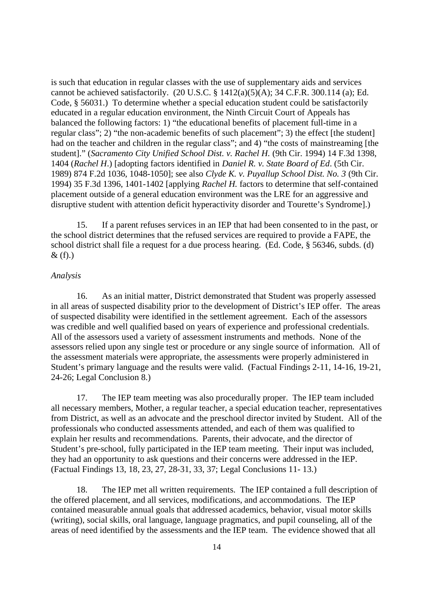is such that education in regular classes with the use of supplementary aids and services cannot be achieved satisfactorily. (20 U.S.C.  $\S$  1412(a)(5)(A); 34 C.F.R. 300.114 (a); Ed. Code, § 56031.) To determine whether a special education student could be satisfactorily educated in a regular education environment, the Ninth Circuit Court of Appeals has balanced the following factors: 1) "the educational benefits of placement full-time in a regular class"; 2) "the non-academic benefits of such placement"; 3) the effect [the student] had on the teacher and children in the regular class"; and 4) "the costs of mainstreaming [the student]." (*Sacramento City Unified School Dist. v. Rachel H.* (9th Cir. 1994) 14 F.3d 1398, 1404 (*Rachel H*.) [adopting factors identified in *Daniel R. v. State Board of Ed*. (5th Cir. 1989) 874 F.2d 1036, 1048-1050]; see also *Clyde K. v. Puyallup School Dist. No. 3* (9th Cir. 1994) 35 F.3d 1396, 1401-1402 [applying *Rachel H.* factors to determine that self-contained placement outside of a general education environment was the LRE for an aggressive and disruptive student with attention deficit hyperactivity disorder and Tourette's Syndrome].)

15. If a parent refuses services in an IEP that had been consented to in the past, or the school district determines that the refused services are required to provide a FAPE, the school district shall file a request for a due process hearing. (Ed. Code, § 56346, subds. (d)  $\&$  (f).)

## *Analysis*

16. As an initial matter, District demonstrated that Student was properly assessed in all areas of suspected disability prior to the development of District's IEP offer. The areas of suspected disability were identified in the settlement agreement. Each of the assessors was credible and well qualified based on years of experience and professional credentials. All of the assessors used a variety of assessment instruments and methods. None of the assessors relied upon any single test or procedure or any single source of information. All of the assessment materials were appropriate, the assessments were properly administered in Student's primary language and the results were valid. (Factual Findings 2-11, 14-16, 19-21, 24-26; Legal Conclusion 8.)

17. The IEP team meeting was also procedurally proper. The IEP team included all necessary members, Mother, a regular teacher, a special education teacher, representatives from District, as well as an advocate and the preschool director invited by Student. All of the professionals who conducted assessments attended, and each of them was qualified to explain her results and recommendations. Parents, their advocate, and the director of Student's pre-school, fully participated in the IEP team meeting. Their input was included, they had an opportunity to ask questions and their concerns were addressed in the IEP. (Factual Findings 13, 18, 23, 27, 28-31, 33, 37; Legal Conclusions 11- 13.)

18. The IEP met all written requirements. The IEP contained a full description of the offered placement, and all services, modifications, and accommodations. The IEP contained measurable annual goals that addressed academics, behavior, visual motor skills (writing), social skills, oral language, language pragmatics, and pupil counseling, all of the areas of need identified by the assessments and the IEP team. The evidence showed that all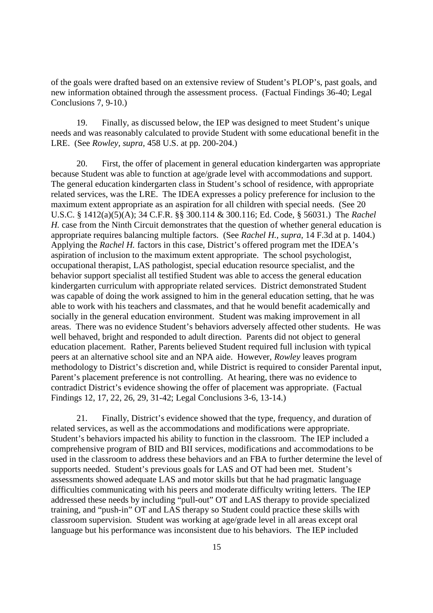of the goals were drafted based on an extensive review of Student's PLOP's, past goals, and new information obtained through the assessment process. (Factual Findings 36-40; Legal Conclusions 7, 9-10.)

19. Finally, as discussed below, the IEP was designed to meet Student's unique needs and was reasonably calculated to provide Student with some educational benefit in the LRE. (See *Rowley, supra,* 458 U.S. at pp. 200-204.)

20. First, the offer of placement in general education kindergarten was appropriate because Student was able to function at age/grade level with accommodations and support. The general education kindergarten class in Student's school of residence, with appropriate related services, was the LRE. The IDEA expresses a policy preference for inclusion to the maximum extent appropriate as an aspiration for all children with special needs. (See 20 U.S.C. § 1412(a)(5)(A); 34 C.F.R. §§ 300.114 & 300.116; Ed. Code, § 56031.) The *Rachel H.* case from the Ninth Circuit demonstrates that the question of whether general education is appropriate requires balancing multiple factors. (See *Rachel H., supra,* 14 F.3d at p. 1404.) Applying the *Rachel H.* factors in this case, District's offered program met the IDEA's aspiration of inclusion to the maximum extent appropriate. The school psychologist, occupational therapist, LAS pathologist, special education resource specialist, and the behavior support specialist all testified Student was able to access the general education kindergarten curriculum with appropriate related services. District demonstrated Student was capable of doing the work assigned to him in the general education setting, that he was able to work with his teachers and classmates, and that he would benefit academically and socially in the general education environment. Student was making improvement in all areas. There was no evidence Student's behaviors adversely affected other students. He was well behaved, bright and responded to adult direction. Parents did not object to general education placement. Rather, Parents believed Student required full inclusion with typical peers at an alternative school site and an NPA aide. However, *Rowley* leaves program methodology to District's discretion and, while District is required to consider Parental input, Parent's placement preference is not controlling. At hearing, there was no evidence to contradict District's evidence showing the offer of placement was appropriate. (Factual Findings 12, 17, 22, 26, 29, 31-42; Legal Conclusions 3-6, 13-14.)

21. Finally, District's evidence showed that the type, frequency, and duration of related services, as well as the accommodations and modifications were appropriate. Student's behaviors impacted his ability to function in the classroom. The IEP included a comprehensive program of BID and BII services, modifications and accommodations to be used in the classroom to address these behaviors and an FBA to further determine the level of supports needed. Student's previous goals for LAS and OT had been met. Student's assessments showed adequate LAS and motor skills but that he had pragmatic language difficulties communicating with his peers and moderate difficulty writing letters. The IEP addressed these needs by including "pull-out" OT and LAS therapy to provide specialized training, and "push-in" OT and LAS therapy so Student could practice these skills with classroom supervision. Student was working at age/grade level in all areas except oral language but his performance was inconsistent due to his behaviors. The IEP included